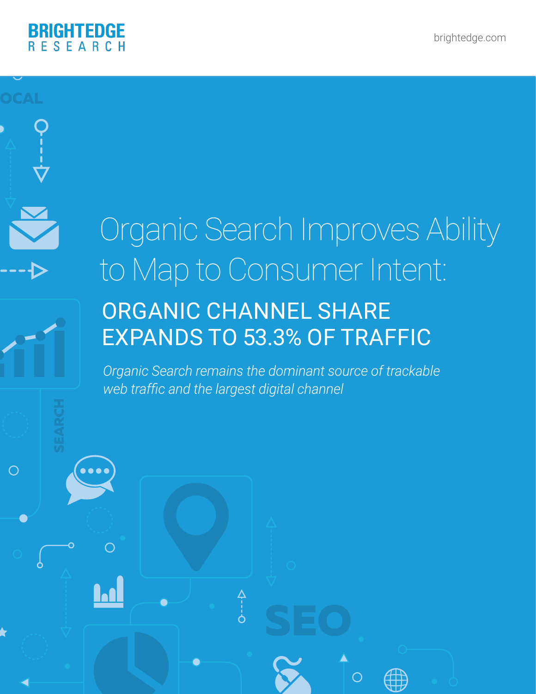

 $\bigcirc$ 

## Organic Search Improves Ability to Map to Consumer Intent:

### ORGANIC CHANNEL SHARE EXPANDS TO 53.3% OF TRAFFIC

*Organic Search remains the dominant source of trackable web traffic and the largest digital channel*

 $\begin{matrix} 2 & 1 \\ -1 & 1 \end{matrix}$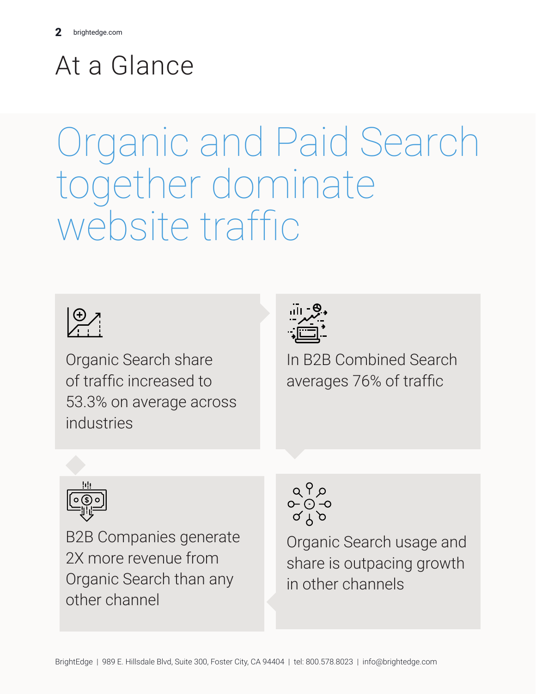## At a Glance

# Organic and Paid Search together dominate website traffic



of traffic increased to 53.3% on average across industries



In B2B Combined Search averages 76% of traffic



Organic Search share<br>
of traffic increased to<br>
53.3% on average across<br>
industries<br>
industries<br>
(<br> **B2B Companies generate**<br>
2X more revenue from<br>
Organic Search than any<br>
other channel<br>
the channel<br>
other channel<br>
shitEdg B2B Companies generate 2X more revenue from Organic Search than any other channel

Organic Search usage and share is outpacing growth in other channels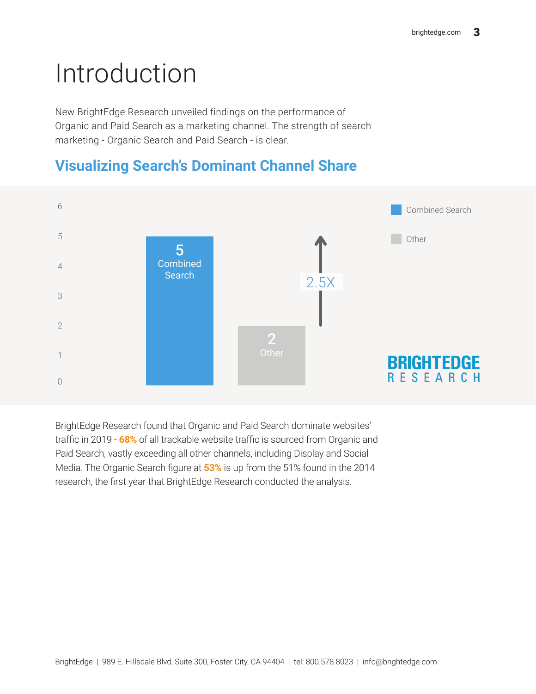## Introduction

New BrightEdge Research unveiled findings on the performance of Organic and Paid Search as a marketing channel. The strength of search marketing - Organic Search and Paid Search - is clear.



#### **Visualizing Search's Dominant Channel Share**

BrightEdge Research found that Organic and Paid Search dominate websites' traffic in 2019 - **68%** of all trackable website traffic is sourced from Organic and Paid Search, vastly exceeding all other channels, including Display and Social Media. The Organic Search figure at **53%** is up from the 51% found in the 2014 research, the first year that BrightEdge Research conducted the analysis.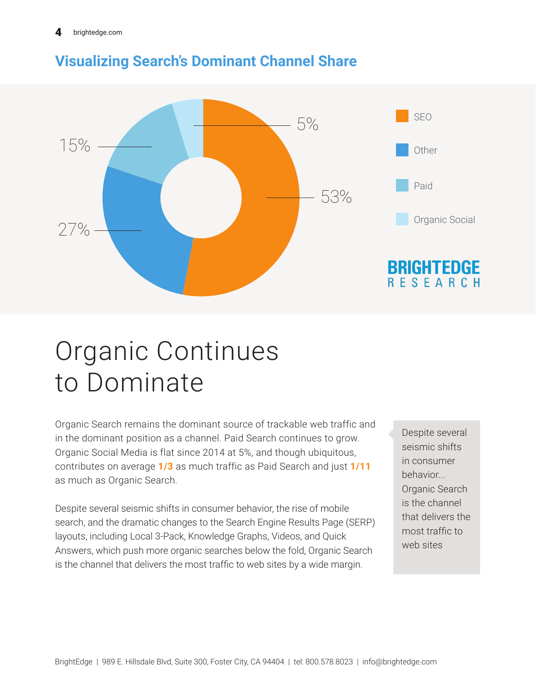

### **Visualizing Search's Dominant Channel Share**

### Organic Continues to Dominate

Organic Search remains the dominant source of trackable web traffic and in the dominant position as a channel. Paid Search continues to grow. Organic Social Media is flat since 2014 at 5%, and though ubiquitous, contributes on average **1/3** as much traffic as Paid Search and just **1/11** as much as Organic Search.

Despite several seismic shifts in consumer behavior, the rise of mobile search, and the dramatic changes to the Search Engine Results Page (SERP) layouts, including Local 3-Pack, Knowledge Graphs, Videos, and Quick Answers, which push more organic searches below the fold, Organic Search is the channel that delivers the most traffic to web sites by a wide margin.

Despite several seismic shifts in consumer behavior... Organic Search is the channel that delivers the most traffic to web sites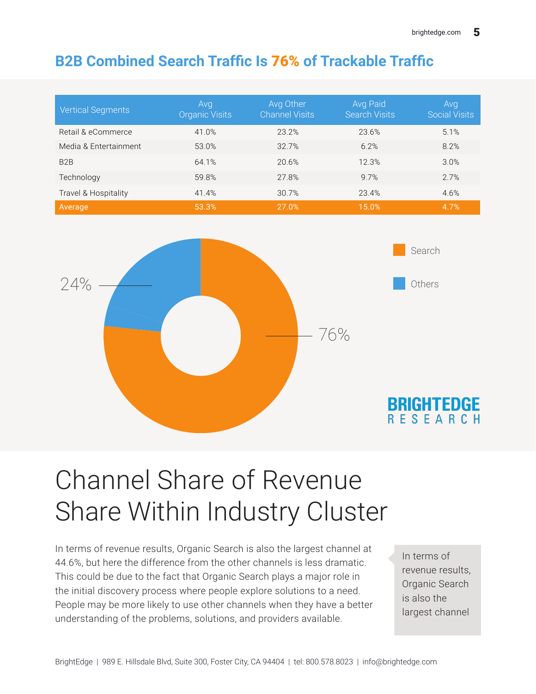### **B2B Combined Search Traffic Is** 76% **of Trackable Traffic**

| <b>Vertical Segments</b> | Avg<br><b>Organic Visits</b> | Avg Other<br><b>Channel Visits</b> | Avg Paid<br><b>Search Visits</b> | Avg<br><b>Social Visits</b> |
|--------------------------|------------------------------|------------------------------------|----------------------------------|-----------------------------|
| Retail & eCommerce       | 41.0%                        | 23.2%                              | 23.6%                            | 5.1%                        |
| Media & Entertainment    | 53.0%                        | 32.7%                              | 6.2%                             | 8.2%                        |
| B <sub>2</sub> B         | 64.1%                        | 20.6%                              | 12.3%                            | 3.0%                        |
| Technology               | 59.8%                        | 27.8%                              | 9.7%                             | 2.7%                        |
| Travel & Hospitality     | 41.4%                        | 30.7%                              | 23.4%                            | 4.6%                        |
| Average                  | 53.3%                        | 27.0%                              | 15.0%                            | 4.7%                        |



### Channel Share of Revenue Share Within Industry Cluster

In terms of revenue results, Organic Search is also the largest channel at 44.6%, but here the difference from the other channels is less dramatic. This could be due to the fact that Organic Search plays a major role in the initial discovery process where people explore solutions to a need. People may be more likely to use other channels when they have a better understanding of the problems, solutions, and providers available.

In terms of revenue results, Organic Search is also the largest channel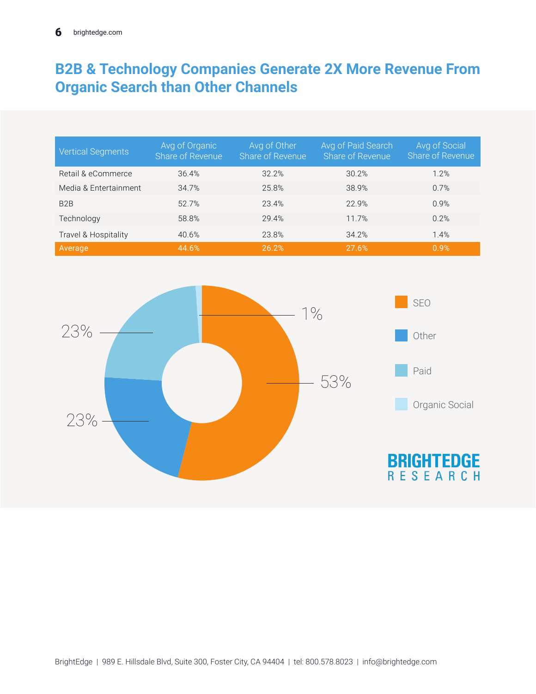#### **B2B & Technology Companies Generate 2X More Revenue From Organic Search than Other Channels**

| <b>Vertical Segments</b> | Avg of Organic<br>Share of Revenue | Avg of Other<br>Share of Revenue | Avg of Paid Search<br>Share of Revenue | Avg of Social<br>Share of Revenue |
|--------------------------|------------------------------------|----------------------------------|----------------------------------------|-----------------------------------|
| Retail & eCommerce       | 36.4%                              | 32.2%                            | 30.2%                                  | 1.2%                              |
| Media & Entertainment    | 34.7%                              | 25.8%                            | 38.9%                                  | 0.7%                              |
| B <sub>2</sub> B         | 52.7%                              | 23.4%                            | 22.9%                                  | 0.9%                              |
| Technology               | 58.8%                              | 29.4%                            | 11.7%                                  | 0.2%                              |
| Travel & Hospitality     | 40.6%                              | 23.8%                            | 34.2%                                  | 1.4%                              |
| Average                  | 44.6%                              | 26.2%                            | 27.6%                                  | 0.9%                              |

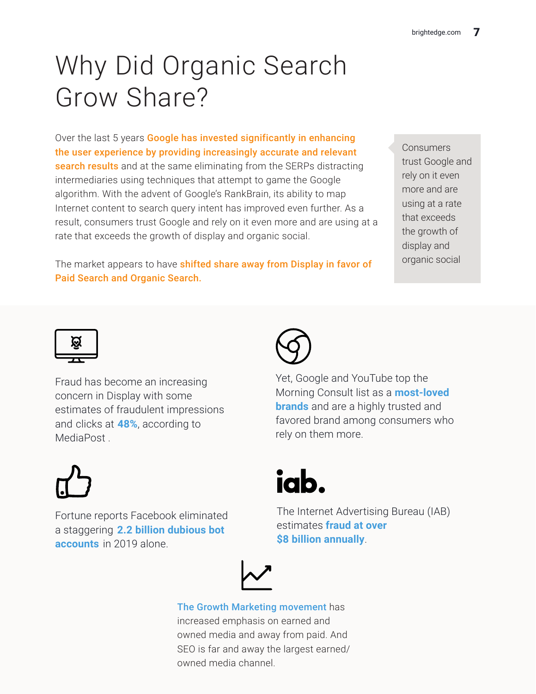### Why Did Organic Search Grow Share?

Over the last 5 years Google has invested significantly in enhancing the user experience by providing increasingly accurate and relevant search results and at the same eliminating from the SERPs distracting intermediaries using techniques that attempt to game the Google algorithm. With the advent of Google's RankBrain, its ability to map Internet content to search query intent has improved even further. As a result, consumers trust Google and rely on it even more and are using at a rate that exceeds the growth of display and organic social.

The market appears to have shifted share away from Display in favor of Paid Search and Organic Search.

**Consumers** trust Google and rely on it even more and are using at a rate that exceeds the growth of display and organic social



Fraud has become an increasing concern in Display with some estimates of fraudulent impressions and clicks at **48%**, according to MediaPost .



Fortune reports Facebook eliminated a staggering **2.2 billion dubious bot accounts** in 2019 alone.

Yet, Google and YouTube top the Morning Consult list as a **most-loved brands** and are a highly trusted and favored brand among consumers who rely on them more.



The Internet Advertising Bureau (IAB) estimates **fraud at over \$8 billion annually**.



owned media channel. The Growth Marketing movement has increased emphasis on earned and owned media and away from paid. And SEO is far and away the largest earned/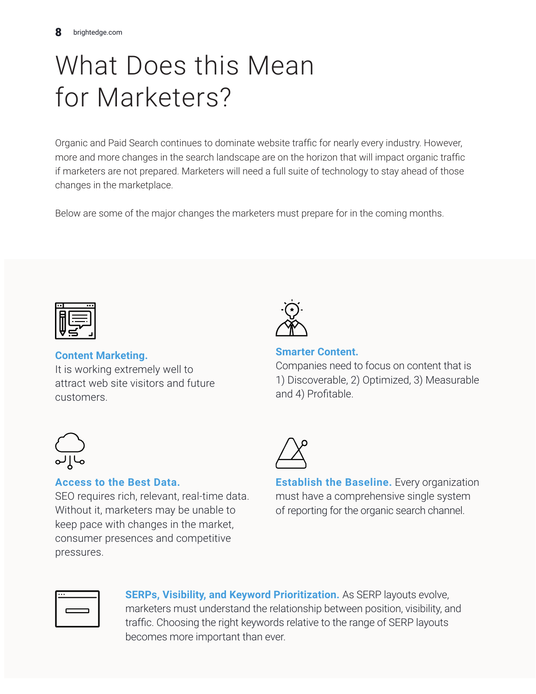### What Does this Mean for Marketers?

Organic and Paid Search continues to dominate website traffic for nearly every industry. However, more and more changes in the search landscape are on the horizon that will impact organic traffic if marketers are not prepared. Marketers will need a full suite of technology to stay ahead of those changes in the marketplace.

Below are some of the major changes the marketers must prepare for in the coming months.



**Content Marketing.**

It is working extremely well to attract web site visitors and future customers.



**Smarter Content.** 

Companies need to focus on content that is 1) Discoverable, 2) Optimized, 3) Measurable and 4) Profitable.



#### **Access to the Best Data.**

SEO requires rich, relevant, real-time data. Without it, marketers may be unable to keep pace with changes in the market, consumer presences and competitive pressures.

**Establish the Baseline.** Every organization must have a comprehensive single system of reporting for the organic search channel.

**SERPs, Visibility, and Keyword Prioritization.** As SERP layouts evolve, marketers must understand the relationship between position, visibility, and traffic. Choosing the right keywords relative to the range of SERP layouts becomes more important than ever.